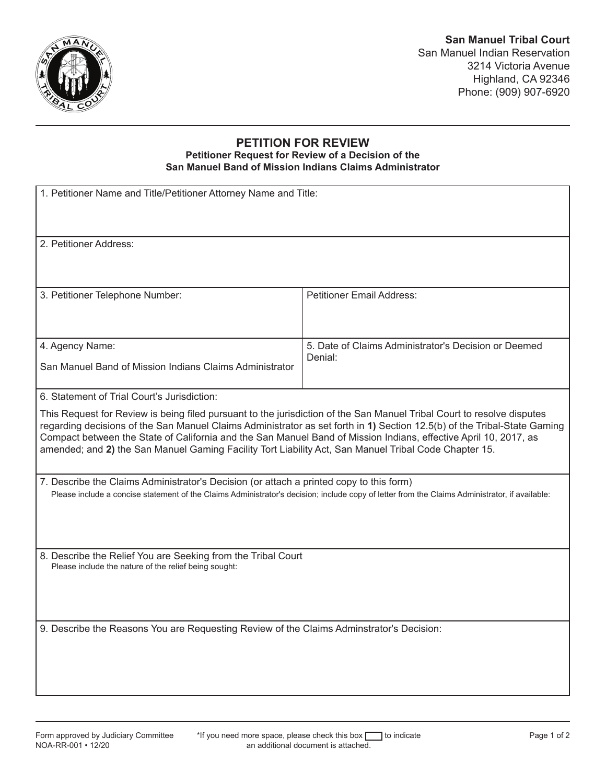

## **PETITION FOR REVIEW Petitioner Request for Review of a Decision of the San Manuel Band of Mission Indians Claims Administrator**

| 1. Petitioner Name and Title/Petitioner Attorney Name and Title:                                                                                                                                                                                                                                                                                                                                                                                                                                                               |                                                                 |
|--------------------------------------------------------------------------------------------------------------------------------------------------------------------------------------------------------------------------------------------------------------------------------------------------------------------------------------------------------------------------------------------------------------------------------------------------------------------------------------------------------------------------------|-----------------------------------------------------------------|
| 2. Petitioner Address:                                                                                                                                                                                                                                                                                                                                                                                                                                                                                                         |                                                                 |
| 3. Petitioner Telephone Number:                                                                                                                                                                                                                                                                                                                                                                                                                                                                                                | <b>Petitioner Email Address:</b>                                |
| 4. Agency Name:<br>San Manuel Band of Mission Indians Claims Administrator                                                                                                                                                                                                                                                                                                                                                                                                                                                     | 5. Date of Claims Administrator's Decision or Deemed<br>Denial: |
| 6. Statement of Trial Court's Jurisdiction:<br>This Request for Review is being filed pursuant to the jurisdiction of the San Manuel Tribal Court to resolve disputes<br>regarding decisions of the San Manuel Claims Administrator as set forth in 1) Section 12.5(b) of the Tribal-State Gaming<br>Compact between the State of California and the San Manuel Band of Mission Indians, effective April 10, 2017, as<br>amended; and 2) the San Manuel Gaming Facility Tort Liability Act, San Manuel Tribal Code Chapter 15. |                                                                 |
| 7. Describe the Claims Administrator's Decision (or attach a printed copy to this form)<br>Please include a concise statement of the Claims Administrator's decision; include copy of letter from the Claims Administrator, if available:                                                                                                                                                                                                                                                                                      |                                                                 |
| 8. Describe the Relief You are Seeking from the Tribal Court<br>Please include the nature of the relief being sought:                                                                                                                                                                                                                                                                                                                                                                                                          |                                                                 |
| 9. Describe the Reasons You are Requesting Review of the Claims Adminstrator's Decision:                                                                                                                                                                                                                                                                                                                                                                                                                                       |                                                                 |